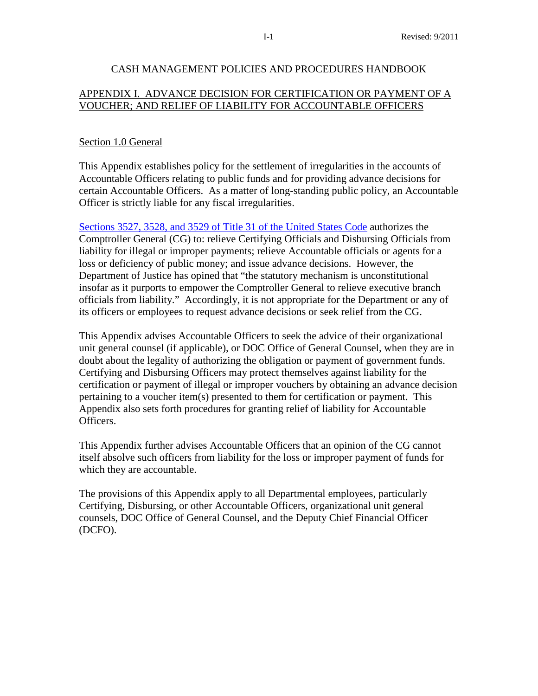## CASH MANAGEMENT POLICIES AND PROCEDURES HANDBOOK

# APPENDIX I. ADVANCE DECISION FOR CERTIFICATION OR PAYMENT OF A VOUCHER; AND RELIEF OF LIABILITY FOR ACCOUNTABLE OFFICERS

## Section 1.0 General

This Appendix establishes policy for the settlement of irregularities in the accounts of Accountable Officers relating to public funds and for providing advance decisions for certain Accountable Officers. As a matter of long-standing public policy, an Accountable Officer is strictly liable for any fiscal irregularities.

[Sections 3527, 3528, and 3529 of Title 31 of the United States Code](http://www.law.cornell.edu/uscode/html/uscode31/usc_sup_01_31_08_III_10_35_20_III.html) authorizes the Comptroller General (CG) to: relieve Certifying Officials and Disbursing Officials from liability for illegal or improper payments; relieve Accountable officials or agents for a loss or deficiency of public money; and issue advance decisions. However, the Department of Justice has opined that "the statutory mechanism is unconstitutional insofar as it purports to empower the Comptroller General to relieve executive branch officials from liability." Accordingly, it is not appropriate for the Department or any of its officers or employees to request advance decisions or seek relief from the CG.

This Appendix advises Accountable Officers to seek the advice of their organizational unit general counsel (if applicable), or DOC Office of General Counsel, when they are in doubt about the legality of authorizing the obligation or payment of government funds. Certifying and Disbursing Officers may protect themselves against liability for the certification or payment of illegal or improper vouchers by obtaining an advance decision pertaining to a voucher item(s) presented to them for certification or payment. This Appendix also sets forth procedures for granting relief of liability for Accountable Officers.

This Appendix further advises Accountable Officers that an opinion of the CG cannot itself absolve such officers from liability for the loss or improper payment of funds for which they are accountable.

The provisions of this Appendix apply to all Departmental employees, particularly Certifying, Disbursing, or other Accountable Officers, organizational unit general counsels, DOC Office of General Counsel, and the Deputy Chief Financial Officer (DCFO).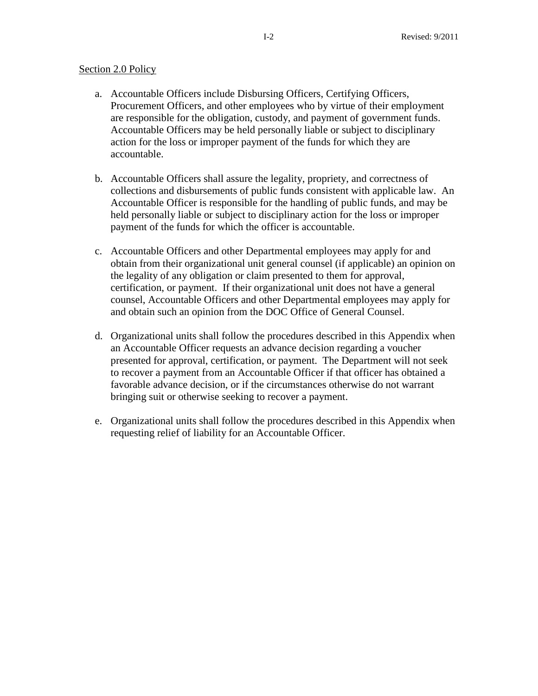## Section 2.0 Policy

- a. Accountable Officers include Disbursing Officers, Certifying Officers, Procurement Officers, and other employees who by virtue of their employment are responsible for the obligation, custody, and payment of government funds. Accountable Officers may be held personally liable or subject to disciplinary action for the loss or improper payment of the funds for which they are accountable.
- b. Accountable Officers shall assure the legality, propriety, and correctness of collections and disbursements of public funds consistent with applicable law. An Accountable Officer is responsible for the handling of public funds, and may be held personally liable or subject to disciplinary action for the loss or improper payment of the funds for which the officer is accountable.
- c. Accountable Officers and other Departmental employees may apply for and obtain from their organizational unit general counsel (if applicable) an opinion on the legality of any obligation or claim presented to them for approval, certification, or payment. If their organizational unit does not have a general counsel, Accountable Officers and other Departmental employees may apply for and obtain such an opinion from the DOC Office of General Counsel.
- d. Organizational units shall follow the procedures described in this Appendix when an Accountable Officer requests an advance decision regarding a voucher presented for approval, certification, or payment. The Department will not seek to recover a payment from an Accountable Officer if that officer has obtained a favorable advance decision, or if the circumstances otherwise do not warrant bringing suit or otherwise seeking to recover a payment.
- e. Organizational units shall follow the procedures described in this Appendix when requesting relief of liability for an Accountable Officer.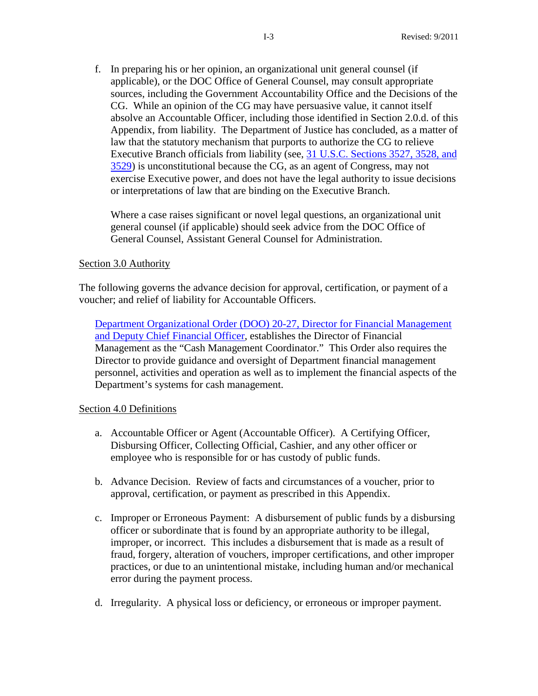f. In preparing his or her opinion, an organizational unit general counsel (if applicable), or the DOC Office of General Counsel, may consult appropriate sources, including the Government Accountability Office and the Decisions of the CG. While an opinion of the CG may have persuasive value, it cannot itself absolve an Accountable Officer, including those identified in Section 2.0.d. of this Appendix, from liability. The Department of Justice has concluded, as a matter of law that the statutory mechanism that purports to authorize the CG to relieve Executive Branch officials from liability (see, [31 U.S.C. Sections 3527, 3528, and](http://www.law.cornell.edu/uscode/html/uscode31/usc_sup_01_31_08_III_10_35_20_III.html)  [3529\)](http://www.law.cornell.edu/uscode/html/uscode31/usc_sup_01_31_08_III_10_35_20_III.html) is unconstitutional because the CG, as an agent of Congress, may not exercise Executive power, and does not have the legal authority to issue decisions or interpretations of law that are binding on the Executive Branch.

Where a case raises significant or novel legal questions, an organizational unit general counsel (if applicable) should seek advice from the DOC Office of General Counsel, Assistant General Counsel for Administration.

#### Section 3.0 Authority

The following governs the advance decision for approval, certification, or payment of a voucher; and relief of liability for Accountable Officers.

[Department Organizational Order \(DOO\) 20-27, Director for Financial Management](http://www.osec.doc.gov/opog/dmp/default.htm)  [and Deputy Chief Financial Officer,](http://www.osec.doc.gov/opog/dmp/default.htm) establishes the Director of Financial Management as the "Cash Management Coordinator." This Order also requires the Director to provide guidance and oversight of Department financial management personnel, activities and operation as well as to implement the financial aspects of the Department's systems for cash management.

#### Section 4.0 Definitions

- a. Accountable Officer or Agent (Accountable Officer). A Certifying Officer, Disbursing Officer, Collecting Official, Cashier, and any other officer or employee who is responsible for or has custody of public funds.
- b. Advance Decision. Review of facts and circumstances of a voucher, prior to approval, certification, or payment as prescribed in this Appendix.
- c. Improper or Erroneous Payment: A disbursement of public funds by a disbursing officer or subordinate that is found by an appropriate authority to be illegal, improper, or incorrect. This includes a disbursement that is made as a result of fraud, forgery, alteration of vouchers, improper certifications, and other improper practices, or due to an unintentional mistake, including human and/or mechanical error during the payment process.
- d. Irregularity. A physical loss or deficiency, or erroneous or improper payment.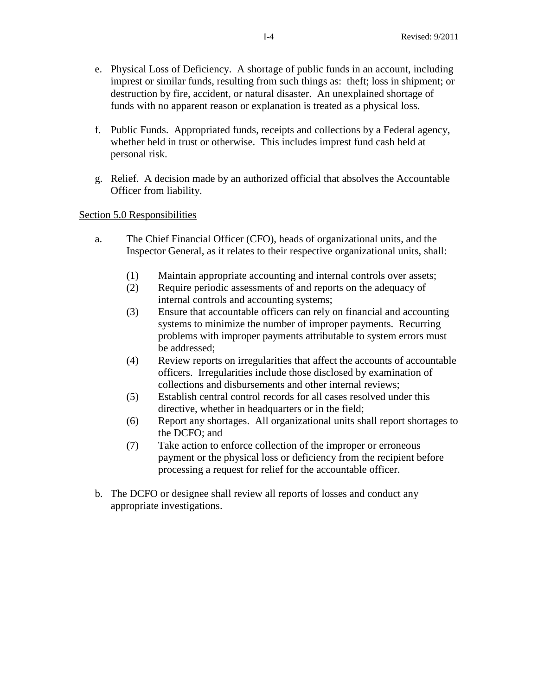- e. Physical Loss of Deficiency. A shortage of public funds in an account, including imprest or similar funds, resulting from such things as: theft; loss in shipment; or destruction by fire, accident, or natural disaster. An unexplained shortage of funds with no apparent reason or explanation is treated as a physical loss.
- f. Public Funds. Appropriated funds, receipts and collections by a Federal agency, whether held in trust or otherwise. This includes imprest fund cash held at personal risk.
- g. Relief. A decision made by an authorized official that absolves the Accountable Officer from liability.

# Section 5.0 Responsibilities

- a. The Chief Financial Officer (CFO), heads of organizational units, and the Inspector General, as it relates to their respective organizational units, shall:
	- (1) Maintain appropriate accounting and internal controls over assets;
	- (2) Require periodic assessments of and reports on the adequacy of internal controls and accounting systems;
	- (3) Ensure that accountable officers can rely on financial and accounting systems to minimize the number of improper payments. Recurring problems with improper payments attributable to system errors must be addressed;
	- (4) Review reports on irregularities that affect the accounts of accountable officers. Irregularities include those disclosed by examination of collections and disbursements and other internal reviews;
	- (5) Establish central control records for all cases resolved under this directive, whether in headquarters or in the field;
	- (6) Report any shortages. All organizational units shall report shortages to the DCFO; and
	- (7) Take action to enforce collection of the improper or erroneous payment or the physical loss or deficiency from the recipient before processing a request for relief for the accountable officer.
- b. The DCFO or designee shall review all reports of losses and conduct any appropriate investigations.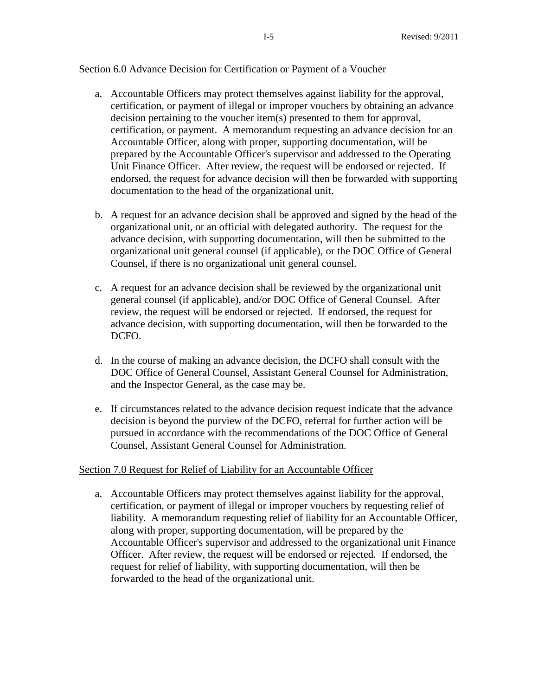### Section 6.0 Advance Decision for Certification or Payment of a Voucher

- a. Accountable Officers may protect themselves against liability for the approval, certification, or payment of illegal or improper vouchers by obtaining an advance decision pertaining to the voucher item(s) presented to them for approval, certification, or payment. A memorandum requesting an advance decision for an Accountable Officer, along with proper, supporting documentation, will be prepared by the Accountable Officer's supervisor and addressed to the Operating Unit Finance Officer. After review, the request will be endorsed or rejected. If endorsed, the request for advance decision will then be forwarded with supporting documentation to the head of the organizational unit.
- b. A request for an advance decision shall be approved and signed by the head of the organizational unit, or an official with delegated authority. The request for the advance decision, with supporting documentation, will then be submitted to the organizational unit general counsel (if applicable), or the DOC Office of General Counsel, if there is no organizational unit general counsel.
- c. A request for an advance decision shall be reviewed by the organizational unit general counsel (if applicable), and/or DOC Office of General Counsel. After review, the request will be endorsed or rejected. If endorsed, the request for advance decision, with supporting documentation, will then be forwarded to the DCFO.
- d. In the course of making an advance decision, the DCFO shall consult with the DOC Office of General Counsel, Assistant General Counsel for Administration, and the Inspector General, as the case may be.
- e. If circumstances related to the advance decision request indicate that the advance decision is beyond the purview of the DCFO, referral for further action will be pursued in accordance with the recommendations of the DOC Office of General Counsel, Assistant General Counsel for Administration.

### Section 7.0 Request for Relief of Liability for an Accountable Officer

a. Accountable Officers may protect themselves against liability for the approval, certification, or payment of illegal or improper vouchers by requesting relief of liability. A memorandum requesting relief of liability for an Accountable Officer, along with proper, supporting documentation, will be prepared by the Accountable Officer's supervisor and addressed to the organizational unit Finance Officer. After review, the request will be endorsed or rejected. If endorsed, the request for relief of liability, with supporting documentation, will then be forwarded to the head of the organizational unit.